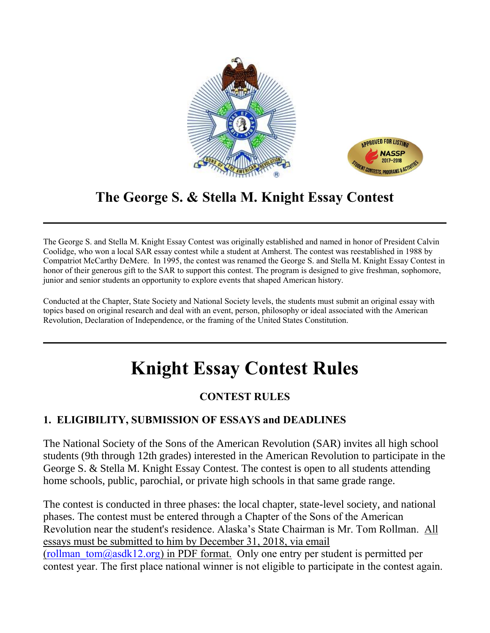

# **The George S. & Stella M. Knight Essay Contest**

The George S. and Stella M. Knight Essay Contest was originally established and named in honor of President Calvin Coolidge, who won a local SAR essay contest while a student at Amherst. The contest was reestablished in 1988 by Compatriot McCarthy DeMere. In 1995, the contest was renamed the George S. and Stella M. Knight Essay Contest in honor of their generous gift to the SAR to support this contest. The program is designed to give freshman, sophomore, junior and senior students an opportunity to explore events that shaped American history.

Conducted at the Chapter, State Society and National Society levels, the students must submit an original essay with topics based on original research and deal with an event, person, philosophy or ideal associated with the American Revolution, Declaration of Independence, or the framing of the United States Constitution.

# **Knight Essay Contest Rules**

# **CONTEST RULES**

#### **1. ELIGIBILITY, SUBMISSION OF ESSAYS and DEADLINES**

The National Society of the Sons of the American Revolution (SAR) invites all high school students (9th through 12th grades) interested in the American Revolution to participate in the George S. & Stella M. Knight Essay Contest. The contest is open to all students attending home schools, public, parochial, or private high schools in that same grade range.

The contest is conducted in three phases: the local chapter, state-level society, and national phases. The contest must be entered through a Chapter of the Sons of the American Revolution near the student's residence. Alaska's State Chairman is Mr. Tom Rollman. All essays must be submitted to him by December 31, 2018, via email (rollman  $tom(\partial \alpha sdk12.org)$  in PDF format. Only one entry per student is permitted per contest year. The first place national winner is not eligible to participate in the contest again.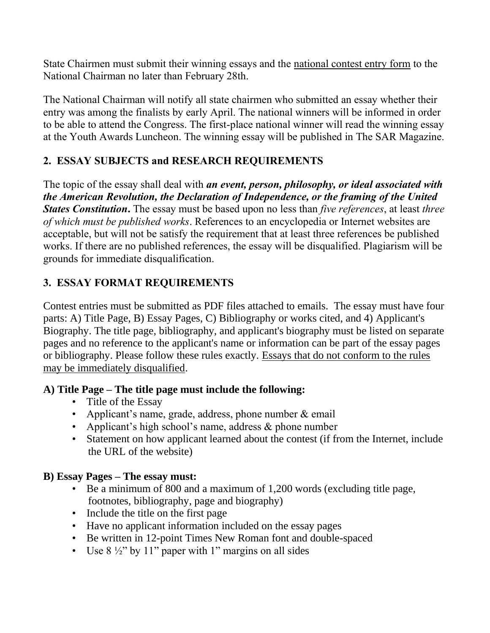State Chairmen must submit their winning essays and the national contest entry form to the National Chairman no later than February 28th.

The National Chairman will notify all state chairmen who submitted an essay whether their entry was among the finalists by early April. The national winners will be informed in order to be able to attend the Congress. The first-place national winner will read the winning essay at the Youth Awards Luncheon. The winning essay will be published in The SAR Magazine.

## **2. ESSAY SUBJECTS and RESEARCH REQUIREMENTS**

The topic of the essay shall deal with *an event, person, philosophy, or ideal associated with the American Revolution, the Declaration of Independence, or the framing of the United States Constitution***.** The essay must be based upon no less than *five references*, at least *three of which must be published works*. References to an encyclopedia or Internet websites are acceptable, but will not be satisfy the requirement that at least three references be published works. If there are no published references, the essay will be disqualified. Plagiarism will be grounds for immediate disqualification.

## **3. ESSAY FORMAT REQUIREMENTS**

Contest entries must be submitted as PDF files attached to emails. The essay must have four parts: A) Title Page, B) Essay Pages, C) Bibliography or works cited, and 4) Applicant's Biography. The title page, bibliography, and applicant's biography must be listed on separate pages and no reference to the applicant's name or information can be part of the essay pages or bibliography. Please follow these rules exactly. Essays that do not conform to the rules may be immediately disqualified.

#### **A) Title Page – The title page must include the following:**

- Title of the Essay
- Applicant's name, grade, address, phone number & email
- Applicant's high school's name, address & phone number
- Statement on how applicant learned about the contest (if from the Internet, include the URL of the website)

#### **B) Essay Pages – The essay must:**

- Be a minimum of 800 and a maximum of 1,200 words (excluding title page, footnotes, bibliography, page and biography)
- Include the title on the first page
- Have no applicant information included on the essay pages
- Be written in 12-point Times New Roman font and double-spaced
- Use  $8\frac{1}{2}$ " by 11" paper with 1" margins on all sides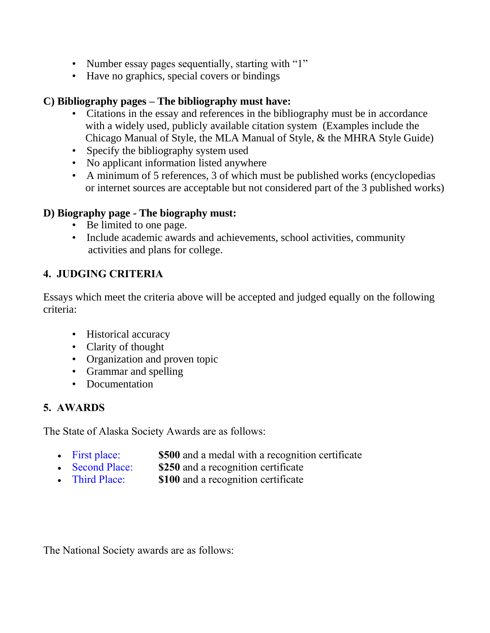- Number essay pages sequentially, starting with "1"
- Have no graphics, special covers or bindings

#### **C) Bibliography pages – The bibliography must have:**

- Citations in the essay and references in the bibliography must be in accordance with a widely used, publicly available citation system (Examples include the Chicago Manual of Style, the MLA Manual of Style, & the MHRA Style Guide)
- Specify the bibliography system used
- No applicant information listed anywhere
- A minimum of 5 references, 3 of which must be published works (encyclopedias or internet sources are acceptable but not considered part of the 3 published works)

#### **D) Biography page - The biography must:**

- Be limited to one page.
- Include academic awards and achievements, school activities, community activities and plans for college.

#### **4. JUDGING CRITERIA**

Essays which meet the criteria above will be accepted and judged equally on the following criteria:

- Historical accuracy
- Clarity of thought
- Organization and proven topic
- Grammar and spelling
- Documentation

#### **5. AWARDS**

The State of Alaska Society Awards are as follows:

- First place: **\$500** and a medal with a recognition certificate
- Second Place: **\$250** and a recognition certificate
- Third Place: **\$100** and a recognition certificate

The National Society awards are as follows: